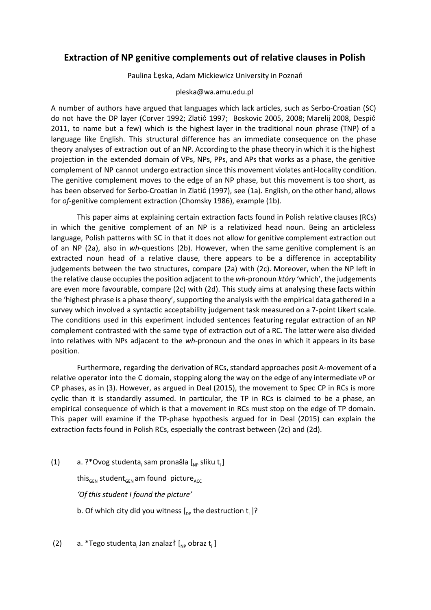## **Extraction of NP genitive complements out of relative clauses in Polish**

Paulina Łęska, Adam Mickiewicz University in Poznań

## pleska@wa.amu.edu.pl

A number of authors have argued that languages which lack articles, such as Serbo-Croatian (SC) do not have the DP layer (Corver 1992; Zlatić 1997; Boskovic 2005, 2008; Marelij 2008, Despić 2011, to name but a few) which is the highest layer in the traditional noun phrase (TNP) of a language like English. This structural difference has an immediate consequence on the phase theory analyses of extraction out of an NP. According to the phase theory in which it is the highest projection in the extended domain of VPs, NPs, PPs, and APs that works as a phase, the genitive complement of NP cannot undergo extraction since this movement violates anti-locality condition. The genitive complement moves to the edge of an NP phase, but this movement is too short, as has been observed for Serbo-Croatian in Zlatić (1997), see (1a). English, on the other hand, allows for *of-genitive complement extraction (Chomsky 1986), example (1b).* 

This paper aims at explaining certain extraction facts found in Polish relative clauses (RCs) in which the genitive complement of an NP is a relativized head noun. Being an articleless language, Polish patterns with SC in that it does not allow for genitive complement extraction out of an NP (2a), also in *wh*questions (2b). However, when the same genitive complement is an extracted noun head of a relative clause, there appears to be a difference in acceptability judgements between the two structures, compare (2a) with (2c). Moreover, when the NP left in the relative clause occupies the position adjacent to the *wh*-pronoun *który* 'which', the judgements are even more favourable, compare (2c) with (2d). This study aims at analysing these facts within the 'highest phrase is a phase theory', supporting the analysis with the empirical data gathered in a survey which involved a syntactic acceptability judgement task measured on a 7-point Likert scale. The conditions used in this experiment included sentences featuring regular extraction of an NP complement contrasted with the same type of extraction out of a RC. The latter were also divided into relatives with NPs adjacent to the *wh*-pronoun and the ones in which it appears in its base position.

Furthermore, regarding the derivation of RCs, standard approaches posit A-movement of a relative operator into the C domain, stopping along the way on the edge of any intermediate vP or CP phases, as in (3). However, as argued in Deal (2015), the movement to Spec CP in RCs is more cyclic than it is standardly assumed. In particular, the TP in RCs is claimed to be a phase, an empirical consequence of which is that a movement in RCs must stop on the edge of TP domain. This paper will examine if the TP-phase hypothesis argued for in Deal (2015) can explain the extraction facts found in Polish RCs, especially the contrast between (2c) and (2d).

- (1) a. ?\*Ovog studenta<sub>i</sub> sam pronašla [<sub>NP</sub> sliku t<sub>i</sub>] this<sub>GEN</sub> student<sub>GEN</sub> am found picture<sub>ACC</sub> *'Of this student I found the picture'* b. Of which city did you witness  $[\begin{smallmatrix} 0_{\text{DP}}\end{smallmatrix}]$  the destruction  $\mathsf{t}_{\mathsf{i}}$   $]$ ?
- (2) a. \*Tego studenta, Jan znalazł  $\left[ \begin{array}{cc} N_{\text{NP}} & \text{obraz } t_i \end{array} \right]$